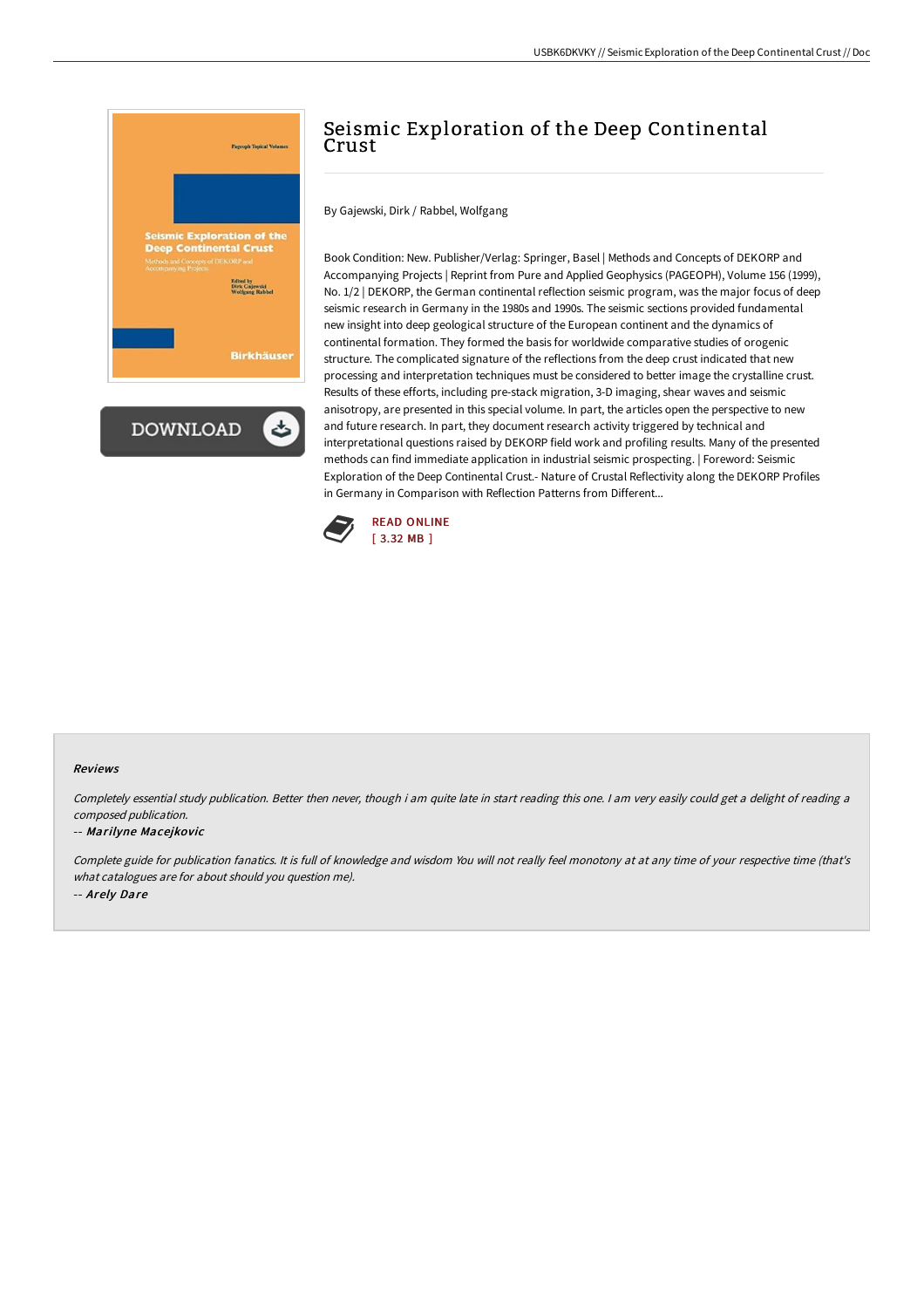

# Seismic Exploration of the Deep Continental Crust

By Gajewski, Dirk / Rabbel, Wolfgang

Book Condition: New. Publisher/Verlag: Springer, Basel | Methods and Concepts of DEKORP and Accompanying Projects | Reprint from Pure and Applied Geophysics (PAGEOPH), Volume 156 (1999), No. 1/2 | DEKORP, the German continental reflection seismic program, was the major focus of deep seismic research in Germany in the 1980s and 1990s. The seismic sections provided fundamental new insight into deep geological structure of the European continent and the dynamics of continental formation. They formed the basis for worldwide comparative studies of orogenic structure. The complicated signature of the reflections from the deep crust indicated that new processing and interpretation techniques must be considered to better image the crystalline crust. Results of these efforts, including pre-stack migration, 3-D imaging, shear waves and seismic anisotropy, are presented in this special volume. In part, the articles open the perspective to new and future research. In part, they document research activity triggered by technical and interpretational questions raised by DEKORP field work and profiling results. Many of the presented methods can find immediate application in industrial seismic prospecting. | Foreword: Seismic Exploration of the Deep Continental Crust.- Nature of Crustal Reflectivity along the DEKORP Profiles in Germany in Comparison with Reflection Patterns from Different...



#### Reviews

Completely essential study publication. Better then never, though i am quite late in start reading this one. <sup>I</sup> am very easily could get <sup>a</sup> delight of reading <sup>a</sup> composed publication.

#### -- Marilyne Macejkovic

Complete guide for publication fanatics. It is full of knowledge and wisdom You will not really feel monotony at at any time of your respective time (that's what catalogues are for about should you question me). -- Arely Dare